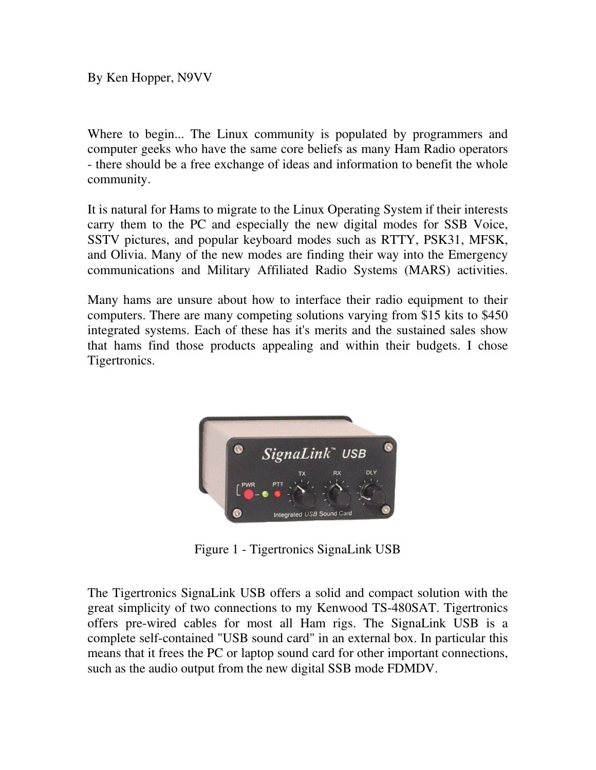By Ken Hopper, N9VV

Where to begin... The Linux community is populated by programmers and computer geeks who have the same core beliefs as many Ham Radio operators - there should be a free exchange of ideas and information to benefit the whole community.

It is natural for Hams to migrate to the Linux Operating System if their interests carry them to the PC and especially the new digital modes for SSB Voice, SSTV pictures, and popular keyboard modes such as RTTY, PSK31, MFSK, and Olivia. Many of the new modes are finding their way into the Emergency communications and Military Affiliated Radio Systems (MARS) activities.

Many hams are unsure about how to interface their radio equipment to their computers. There are many competing solutions varying from \$15 kits to \$450 integrated systems. Each of these has it's merits and the sustained sales show that hams find those products appealing and within their budgets. I chose Tigertronics.



Figure 1 - Tigertronics SignaLink USB

The Tigertronics SignaLink USB offers a solid and compact solution with the great simplicity of two connections to my Kenwood TS-480SAT. Tigertronics offers pre-wired cables for most all Ham rigs. The SignaLink USB is a complete self-contained "USB sound card" in an external box. In particular this means that it frees the PC or laptop sound card for other important connections, such as the audio output from the new digital SSB mode FDMDV.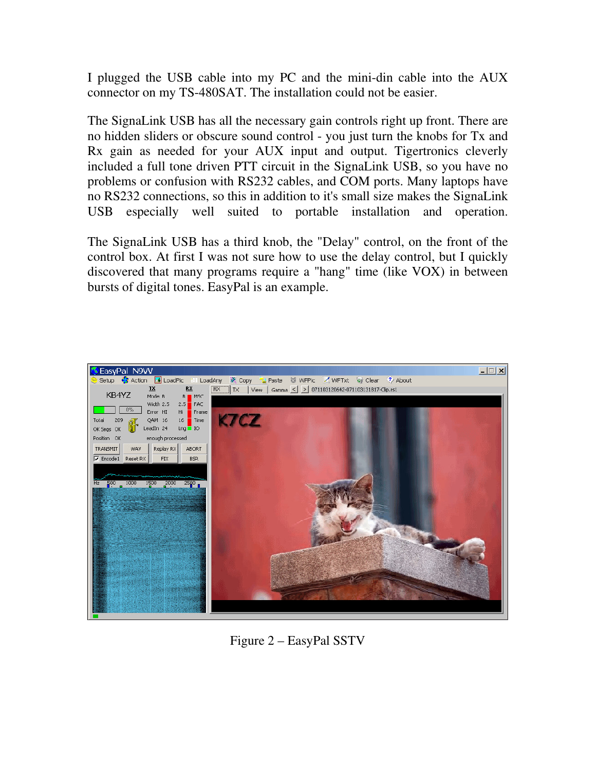I plugged the USB cable into my PC and the mini-din cable into the AUX connector on my TS-480SAT. The installation could not be easier.

The SignaLink USB has all the necessary gain controls right up front. There are no hidden sliders or obscure sound control - you just turn the knobs for Tx and Rx gain as needed for your AUX input and output. Tigertronics cleverly included a full tone driven PTT circuit in the SignaLink USB, so you have no problems or confusion with RS232 cables, and COM ports. Many laptops have no RS232 connections, so this in addition to it's small size makes the SignaLink USB especially well suited to portable installation and operation.

The SignaLink USB has a third knob, the "Delay" control, on the front of the control box. At first I was not sure how to use the delay control, but I quickly discovered that many programs require a "hang" time (like VOX) in between bursts of digital tones. EasyPal is an example.



Figure 2 – EasyPal SSTV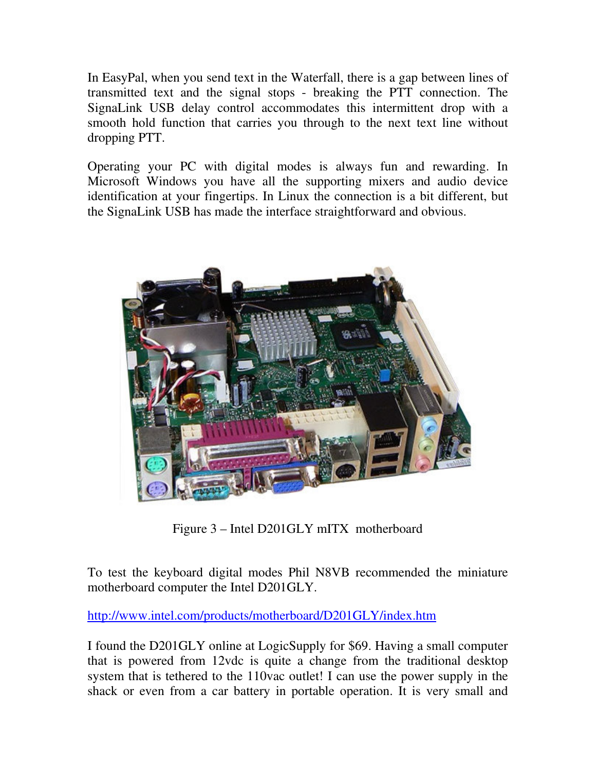In EasyPal, when you send text in the Waterfall, there is a gap between lines of transmitted text and the signal stops - breaking the PTT connection. The SignaLink USB delay control accommodates this intermittent drop with a smooth hold function that carries you through to the next text line without dropping PTT.

Operating your PC with digital modes is always fun and rewarding. In Microsoft Windows you have all the supporting mixers and audio device identification at your fingertips. In Linux the connection is a bit different, but the SignaLink USB has made the interface straightforward and obvious.



Figure 3 – Intel D201GLY mITX motherboard

To test the keyboard digital modes Phil N8VB recommended the miniature motherboard computer the Intel D201GLY.

http://www.intel.com/products/motherboard/D201GLY/index.htm

I found the D201GLY online at LogicSupply for \$69. Having a small computer that is powered from 12vdc is quite a change from the traditional desktop system that is tethered to the 110vac outlet! I can use the power supply in the shack or even from a car battery in portable operation. It is very small and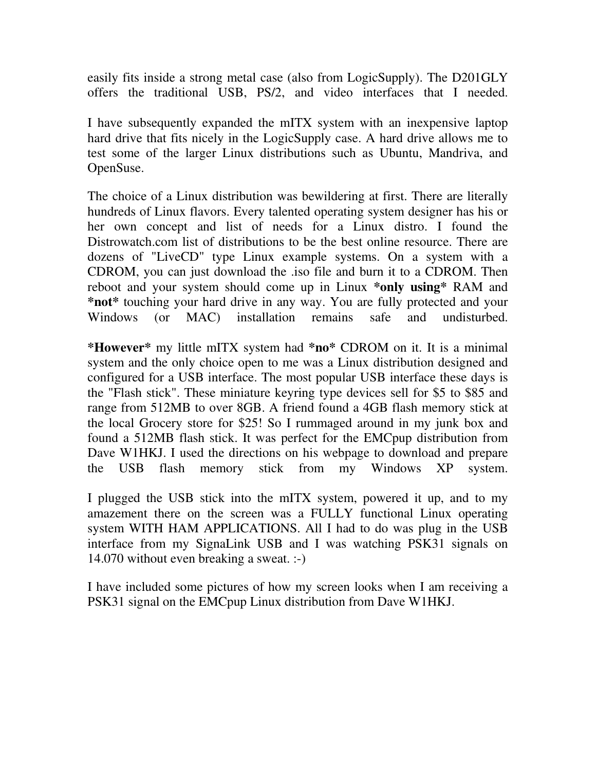easily fits inside a strong metal case (also from LogicSupply). The D201GLY offers the traditional USB, PS/2, and video interfaces that I needed.

I have subsequently expanded the mITX system with an inexpensive laptop hard drive that fits nicely in the LogicSupply case. A hard drive allows me to test some of the larger Linux distributions such as Ubuntu, Mandriva, and OpenSuse.

The choice of a Linux distribution was bewildering at first. There are literally hundreds of Linux flavors. Every talented operating system designer has his or her own concept and list of needs for a Linux distro. I found the Distrowatch.com list of distributions to be the best online resource. There are dozens of "LiveCD" type Linux example systems. On a system with a CDROM, you can just download the .iso file and burn it to a CDROM. Then reboot and your system should come up in Linux **\*only using\*** RAM and **\*not\*** touching your hard drive in any way. You are fully protected and your Windows (or MAC) installation remains safe and undisturbed.

**\*However\*** my little mITX system had **\*no\*** CDROM on it. It is a minimal system and the only choice open to me was a Linux distribution designed and configured for a USB interface. The most popular USB interface these days is the "Flash stick". These miniature keyring type devices sell for \$5 to \$85 and range from 512MB to over 8GB. A friend found a 4GB flash memory stick at the local Grocery store for \$25! So I rummaged around in my junk box and found a 512MB flash stick. It was perfect for the EMCpup distribution from Dave W1HKJ. I used the directions on his webpage to download and prepare the USB flash memory stick from my Windows XP system.

I plugged the USB stick into the mITX system, powered it up, and to my amazement there on the screen was a FULLY functional Linux operating system WITH HAM APPLICATIONS. All I had to do was plug in the USB interface from my SignaLink USB and I was watching PSK31 signals on 14.070 without even breaking a sweat. :-)

I have included some pictures of how my screen looks when I am receiving a PSK31 signal on the EMCpup Linux distribution from Dave W1HKJ.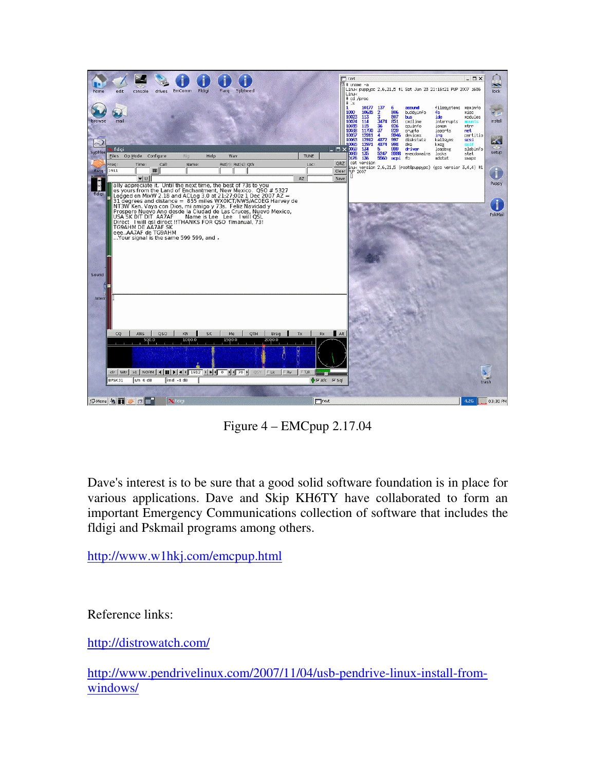

Figure 4 – EMCpup 2.17.04

Dave's interest is to be sure that a good solid software foundation is in place for various applications. Dave and Skip KH6TY have collaborated to form an important Emergency Communications collection of software that includes the fldigi and Pskmail programs among others.

http://www.w1hkj.com/emcpup.html

Reference links:

http://distrowatch.com/

http://www.pendrivelinux.com/2007/11/04/usb-pendrive-linux-install-fromwindows/